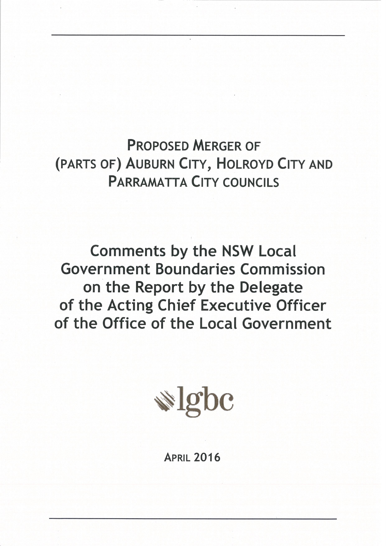**PROPOSED MERGER OF** (PARTS OF) AUBURN CITY, HOLROYD CITY AND **PARRAMATTA CITY COUNCILS** 

**Comments by the NSW Local Government Boundaries Commission** on the Report by the Delegate of the Acting Chief Executive Officer of the Office of the Local Government

 $\triangleq$  lgbc

**APRIL 2016**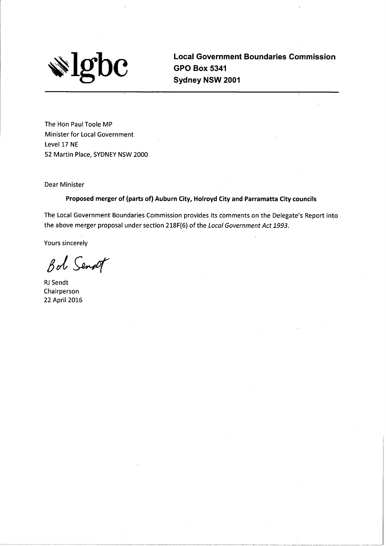

**Local Government Boundaries Commission GPO Box 5341** Sydney NSW 2001

The Hon Paul Toole MP Minister for Local Government Level 17 NE 52 Martin Place, SYDNEY NSW 2000

**Dear Minister** 

Proposed merger of (parts of) Auburn City, Holroyd City and Parramatta City councils

The Local Government Boundaries Commission provides its comments on the Delegate's Report into the above merger proposal under section 218F(6) of the Local Government Act 1993.

Yours sincerely

Bot Senat

RJ Sendt Chairperson 22 April 2016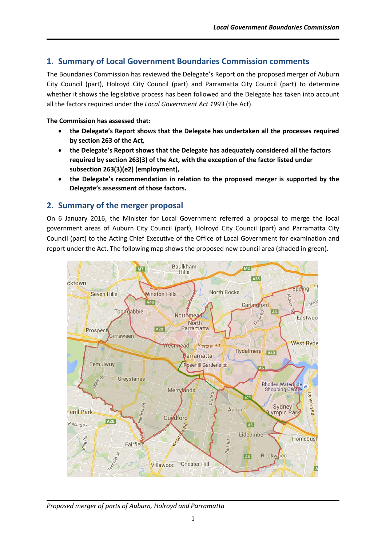# **1. Summary of Local Government Boundaries Commission comments**

The Boundaries Commission has reviewed the Delegate's Report on the proposed merger of Auburn City Council (part), Holroyd City Council (part) and Parramatta City Council (part) to determine whether it shows the legislative process has been followed and the Delegate has taken into account all the factors required under the *Local Government Act 1993* (the Act).

#### **The Commission has assessed that:**

- **the Delegate's Report shows that the Delegate has undertaken all the processes required by section 263 of the Act***,*
- **the Delegate's Report shows that the Delegate has adequately considered all the factors required by section 263(3) of the Act, with the exception of the factor listed under subsection 263(3)(e2) (employment),**
- **the Delegate's recommendation in relation to the proposed merger is supported by the Delegate's assessment of those factors.**

# **2. Summary of the merger proposal**

On 6 January 2016, the Minister for Local Government referred a proposal to merge the local government areas of Auburn City Council (part), Holroyd City Council (part) and Parramatta City Council (part) to the Acting Chief Executive of the Office of Local Government for examination and report under the Act. The following map shows the proposed new council area (shaded in green).



*Proposed merger of parts of Auburn, Holroyd and Parramatta*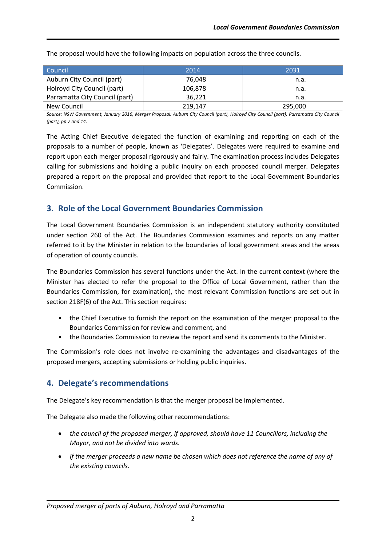| Council                        | 2014    | 2031    |
|--------------------------------|---------|---------|
| Auburn City Council (part)     | 76.048  | n.a.    |
| Holroyd City Council (part)    | 106.878 | n.a.    |
| Parramatta City Council (part) | 36.221  | n.a.    |
| New Council                    | 219,147 | 295,000 |

The proposal would have the following impacts on population across the three councils.

*Source: NSW Government, January 2016, Merger Proposal: Auburn City Council (part), Holroyd City Council (part), Parramatta City Council (part), pp 7 and 14.*

The Acting Chief Executive delegated the function of examining and reporting on each of the proposals to a number of people, known as 'Delegates'. Delegates were required to examine and report upon each merger proposal rigorously and fairly. The examination process includes Delegates calling for submissions and holding a public inquiry on each proposed council merger. Delegates prepared a report on the proposal and provided that report to the Local Government Boundaries Commission.

# **3. Role of the Local Government Boundaries Commission**

The Local Government Boundaries Commission is an independent statutory authority constituted under section 260 of the Act. The Boundaries Commission examines and reports on any matter referred to it by the Minister in relation to the boundaries of local government areas and the areas of operation of county councils.

The Boundaries Commission has several functions under the Act. In the current context (where the Minister has elected to refer the proposal to the Office of Local Government, rather than the Boundaries Commission, for examination), the most relevant Commission functions are set out in section 218F(6) of the Act. This section requires:

- the Chief Executive to furnish the report on the examination of the merger proposal to the Boundaries Commission for review and comment, and
- the Boundaries Commission to review the report and send its comments to the Minister.

The Commission's role does not involve re-examining the advantages and disadvantages of the proposed mergers, accepting submissions or holding public inquiries.

# **4. Delegate's recommendations**

The Delegate's key recommendation is that the merger proposal be implemented.

The Delegate also made the following other recommendations:

- *the council of the proposed merger, if approved, should have 11 Councillors, including the Mayor, and not be divided into wards.*
- *if the merger proceeds a new name be chosen which does not reference the name of any of the existing councils.*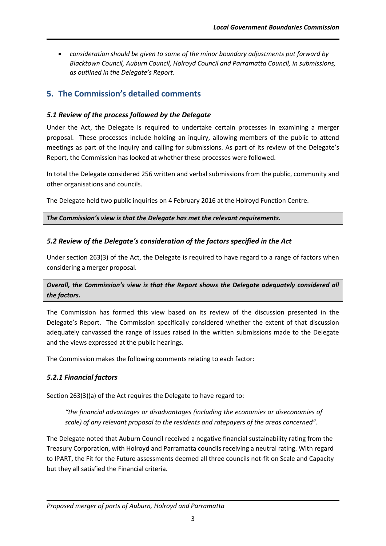*consideration should be given to some of the minor boundary adjustments put forward by Blacktown Council, Auburn Council, Holroyd Council and Parramatta Council, in submissions, as outlined in the Delegate's Report.* 

# **5. The Commission's detailed comments**

### *5.1 Review of the process followed by the Delegate*

Under the Act, the Delegate is required to undertake certain processes in examining a merger proposal. These processes include holding an inquiry, allowing members of the public to attend meetings as part of the inquiry and calling for submissions. As part of its review of the Delegate's Report, the Commission has looked at whether these processes were followed.

In total the Delegate considered 256 written and verbal submissions from the public, community and other organisations and councils.

The Delegate held two public inquiries on 4 February 2016 at the Holroyd Function Centre.

*The Commission's view is that the Delegate has met the relevant requirements.*

### *5.2 Review of the Delegate's consideration of the factors specified in the Act*

Under section 263(3) of the Act, the Delegate is required to have regard to a range of factors when considering a merger proposal.

# *Overall, the Commission's view is that the Report shows the Delegate adequately considered all the factors.*

The Commission has formed this view based on its review of the discussion presented in the Delegate's Report. The Commission specifically considered whether the extent of that discussion adequately canvassed the range of issues raised in the written submissions made to the Delegate and the views expressed at the public hearings.

The Commission makes the following comments relating to each factor:

# *5.2.1 Financial factors*

Section 263(3)(a) of the Act requires the Delegate to have regard to:

*"the financial advantages or disadvantages (including the economies or diseconomies of scale) of any relevant proposal to the residents and ratepayers of the areas concerned".*

The Delegate noted that Auburn Council received a negative financial sustainability rating from the Treasury Corporation, with Holroyd and Parramatta councils receiving a neutral rating. With regard to IPART, the Fit for the Future assessments deemed all three councils not-fit on Scale and Capacity but they all satisfied the Financial criteria.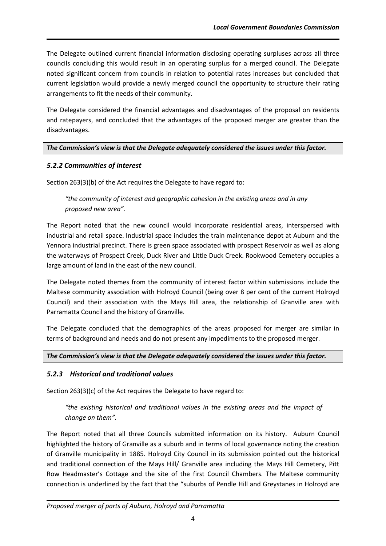The Delegate outlined current financial information disclosing operating surpluses across all three councils concluding this would result in an operating surplus for a merged council. The Delegate noted significant concern from councils in relation to potential rates increases but concluded that current legislation would provide a newly merged council the opportunity to structure their rating arrangements to fit the needs of their community.

The Delegate considered the financial advantages and disadvantages of the proposal on residents and ratepayers, and concluded that the advantages of the proposed merger are greater than the disadvantages.

#### *The Commission's view is that the Delegate adequately considered the issues under this factor.*

# *5.2.2 Communities of interest*

Section 263(3)(b) of the Act requires the Delegate to have regard to:

# *"the community of interest and geographic cohesion in the existing areas and in any proposed new area".*

The Report noted that the new council would incorporate residential areas, interspersed with industrial and retail space. Industrial space includes the train maintenance depot at Auburn and the Yennora industrial precinct. There is green space associated with prospect Reservoir as well as along the waterways of Prospect Creek, Duck River and Little Duck Creek. Rookwood Cemetery occupies a large amount of land in the east of the new council.

The Delegate noted themes from the community of interest factor within submissions include the Maltese community association with Holroyd Council (being over 8 per cent of the current Holroyd Council) and their association with the Mays Hill area, the relationship of Granville area with Parramatta Council and the history of Granville.

The Delegate concluded that the demographics of the areas proposed for merger are similar in terms of background and needs and do not present any impediments to the proposed merger.

#### *The Commission's view is that the Delegate adequately considered the issues under this factor.*

# *5.2.3 Historical and traditional values*

Section 263(3)(c) of the Act requires the Delegate to have regard to:

# *"the existing historical and traditional values in the existing areas and the impact of change on them".*

The Report noted that all three Councils submitted information on its history. Auburn Council highlighted the history of Granville as a suburb and in terms of local governance noting the creation of Granville municipality in 1885. Holroyd City Council in its submission pointed out the historical and traditional connection of the Mays Hill/ Granville area including the Mays Hill Cemetery, Pitt Row Headmaster's Cottage and the site of the first Council Chambers. The Maltese community connection is underlined by the fact that the "suburbs of Pendle Hill and Greystanes in Holroyd are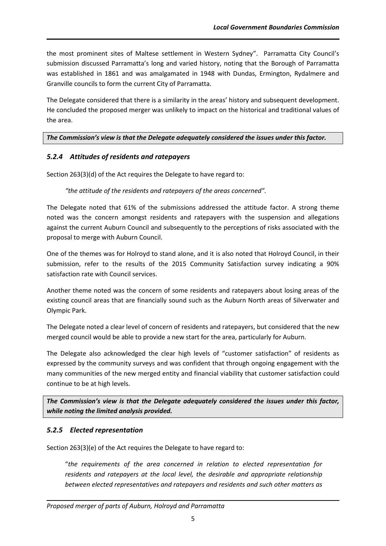the most prominent sites of Maltese settlement in Western Sydney". Parramatta City Council's submission discussed Parramatta's long and varied history, noting that the Borough of Parramatta was established in 1861 and was amalgamated in 1948 with Dundas, Ermington, Rydalmere and Granville councils to form the current City of Parramatta.

The Delegate considered that there is a similarity in the areas' history and subsequent development. He concluded the proposed merger was unlikely to impact on the historical and traditional values of the area.

#### *The Commission's view is that the Delegate adequately considered the issues under this factor.*

#### *5.2.4 Attitudes of residents and ratepayers*

Section 263(3)(d) of the Act requires the Delegate to have regard to:

#### *"the attitude of the residents and ratepayers of the areas concerned".*

The Delegate noted that 61% of the submissions addressed the attitude factor. A strong theme noted was the concern amongst residents and ratepayers with the suspension and allegations against the current Auburn Council and subsequently to the perceptions of risks associated with the proposal to merge with Auburn Council.

One of the themes was for Holroyd to stand alone, and it is also noted that Holroyd Council, in their submission, refer to the results of the 2015 Community Satisfaction survey indicating a 90% satisfaction rate with Council services.

Another theme noted was the concern of some residents and ratepayers about losing areas of the existing council areas that are financially sound such as the Auburn North areas of Silverwater and Olympic Park.

The Delegate noted a clear level of concern of residents and ratepayers, but considered that the new merged council would be able to provide a new start for the area, particularly for Auburn.

The Delegate also acknowledged the clear high levels of "customer satisfaction" of residents as expressed by the community surveys and was confident that through ongoing engagement with the many communities of the new merged entity and financial viability that customer satisfaction could continue to be at high levels.

*The Commission's view is that the Delegate adequately considered the issues under this factor, while noting the limited analysis provided.*

#### *5.2.5 Elected representation*

Section 263(3)(e) of the Act requires the Delegate to have regard to:

"*the requirements of the area concerned in relation to elected representation for residents and ratepayers at the local level, the desirable and appropriate relationship between elected representatives and ratepayers and residents and such other matters as*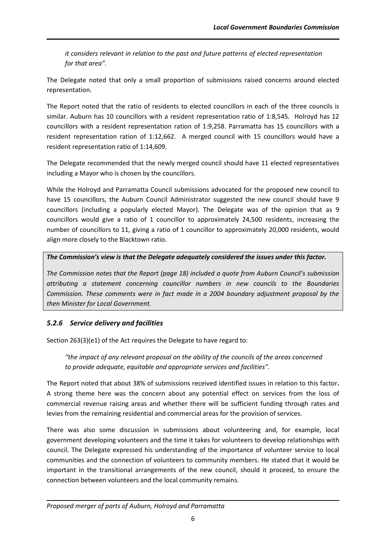*it considers relevant in relation to the past and future patterns of elected representation for that area".*

The Delegate noted that only a small proportion of submissions raised concerns around elected representation.

The Report noted that the ratio of residents to elected councillors in each of the three councils is similar. Auburn has 10 councillors with a resident representation ratio of 1:8,545. Holroyd has 12 councillors with a resident representation ration of 1:9,258. Parramatta has 15 councillors with a resident representation ration of 1:12,662. A merged council with 15 councillors would have a resident representation ratio of 1:14,609.

The Delegate recommended that the newly merged council should have 11 elected representatives including a Mayor who is chosen by the councillors.

While the Holroyd and Parramatta Council submissions advocated for the proposed new council to have 15 councillors, the Auburn Council Administrator suggested the new council should have 9 councillors (including a popularly elected Mayor). The Delegate was of the opinion that as 9 councillors would give a ratio of 1 councillor to approximately 24,500 residents, increasing the number of councillors to 11, giving a ratio of 1 councillor to approximately 20,000 residents, would align more closely to the Blacktown ratio.

#### *The Commission's view is that the Delegate adequately considered the issues under this factor.*

*The Commission notes that the Report (page 18) included a quote from Auburn Council's submission attributing a statement concerning councillor numbers in new councils to the Boundaries Commission. These comments were in fact made in a 2004 boundary adjustment proposal by the then Minister for Local Government.*

#### *5.2.6 Service delivery and facilities*

Section 263(3)(e1) of the Act requires the Delegate to have regard to:

*"the impact of any relevant proposal on the ability of the councils of the areas concerned to provide adequate, equitable and appropriate services and facilities".*

The Report noted that about 38% of submissions received identified issues in relation to this factor**.**  A strong theme here was the concern about any potential effect on services from the loss of commercial revenue raising areas and whether there will be sufficient funding through rates and levies from the remaining residential and commercial areas for the provision of services.

There was also some discussion in submissions about volunteering and, for example, local government developing volunteers and the time it takes for volunteers to develop relationships with council. The Delegate expressed his understanding of the importance of volunteer service to local communities and the connection of volunteers to community members. He stated that it would be important in the transitional arrangements of the new council, should it proceed, to ensure the connection between volunteers and the local community remains.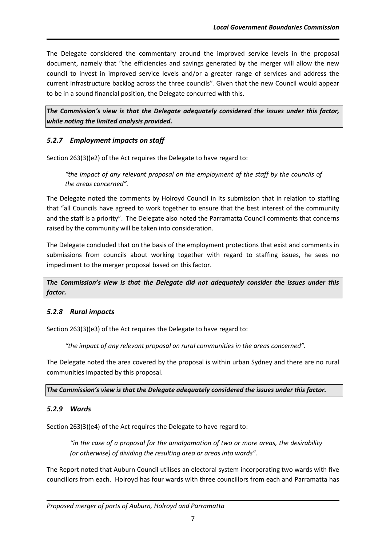The Delegate considered the commentary around the improved service levels in the proposal document, namely that "the efficiencies and savings generated by the merger will allow the new council to invest in improved service levels and/or a greater range of services and address the current infrastructure backlog across the three councils". Given that the new Council would appear to be in a sound financial position, the Delegate concurred with this.

*The Commission's view is that the Delegate adequately considered the issues under this factor, while noting the limited analysis provided.*

### *5.2.7 Employment impacts on staff*

Section 263(3)(e2) of the Act requires the Delegate to have regard to:

*"the impact of any relevant proposal on the employment of the staff by the councils of the areas concerned".*

The Delegate noted the comments by Holroyd Council in its submission that in relation to staffing that "all Councils have agreed to work together to ensure that the best interest of the community and the staff is a priority". The Delegate also noted the Parramatta Council comments that concerns raised by the community will be taken into consideration.

The Delegate concluded that on the basis of the employment protections that exist and comments in submissions from councils about working together with regard to staffing issues, he sees no impediment to the merger proposal based on this factor.

*The Commission's view is that the Delegate did not adequately consider the issues under this factor.* 

#### *5.2.8 Rural impacts*

Section 263(3)(e3) of the Act requires the Delegate to have regard to:

*"the impact of any relevant proposal on rural communities in the areas concerned".*

The Delegate noted the area covered by the proposal is within urban Sydney and there are no rural communities impacted by this proposal.

*The Commission's view is that the Delegate adequately considered the issues under this factor.* 

# *5.2.9 Wards*

Section 263(3)(e4) of the Act requires the Delegate to have regard to:

*"in the case of a proposal for the amalgamation of two or more areas, the desirability (or otherwise) of dividing the resulting area or areas into wards".*

The Report noted that Auburn Council utilises an electoral system incorporating two wards with five councillors from each. Holroyd has four wards with three councillors from each and Parramatta has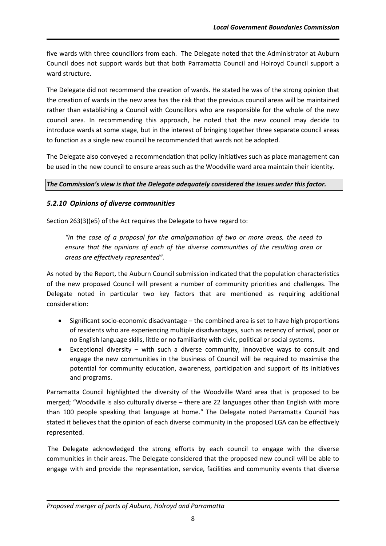five wards with three councillors from each. The Delegate noted that the Administrator at Auburn Council does not support wards but that both Parramatta Council and Holroyd Council support a ward structure.

The Delegate did not recommend the creation of wards. He stated he was of the strong opinion that the creation of wards in the new area has the risk that the previous council areas will be maintained rather than establishing a Council with Councillors who are responsible for the whole of the new council area. In recommending this approach, he noted that the new council may decide to introduce wards at some stage, but in the interest of bringing together three separate council areas to function as a single new council he recommended that wards not be adopted.

The Delegate also conveyed a recommendation that policy initiatives such as place management can be used in the new council to ensure areas such as the Woodville ward area maintain their identity.

### *The Commission's view is that the Delegate adequately considered the issues under this factor.*

# *5.2.10 Opinions of diverse communities*

Section 263(3)(e5) of the Act requires the Delegate to have regard to:

*"in the case of a proposal for the amalgamation of two or more areas, the need to ensure that the opinions of each of the diverse communities of the resulting area or areas are effectively represented".*

As noted by the Report, the Auburn Council submission indicated that the population characteristics of the new proposed Council will present a number of community priorities and challenges. The Delegate noted in particular two key factors that are mentioned as requiring additional consideration:

- Significant socio-economic disadvantage the combined area is set to have high proportions of residents who are experiencing multiple disadvantages, such as recency of arrival, poor or no English language skills, little or no familiarity with civic, political or social systems.
- Exceptional diversity with such a diverse community, innovative ways to consult and engage the new communities in the business of Council will be required to maximise the potential for community education, awareness, participation and support of its initiatives and programs.

Parramatta Council highlighted the diversity of the Woodville Ward area that is proposed to be merged; "Woodville is also culturally diverse – there are 22 languages other than English with more than 100 people speaking that language at home." The Delegate noted Parramatta Council has stated it believes that the opinion of each diverse community in the proposed LGA can be effectively represented.

The Delegate acknowledged the strong efforts by each council to engage with the diverse communities in their areas. The Delegate considered that the proposed new council will be able to engage with and provide the representation, service, facilities and community events that diverse